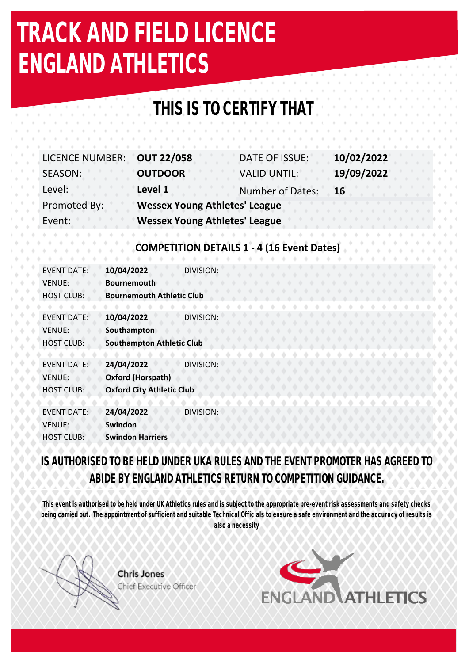# **TRACK AND FIELD LICENCE ENGLAND ATHLETICS**

### **THIS IS TO CERTIFY THAT**

| <b>LICENCE NUMBER:</b> | <b>OUT 22/058</b>                    | DATE OF ISSUE:          | 10/02/2022 |  |
|------------------------|--------------------------------------|-------------------------|------------|--|
| SEASON:                | <b>OUTDOOR</b>                       | <b>VALID UNTIL:</b>     | 19/09/2022 |  |
| Level:                 | Level 1                              | <b>Number of Dates:</b> | <b>16</b>  |  |
| Promoted By:           | <b>Wessex Young Athletes' League</b> |                         |            |  |
| Event:                 | <b>Wessex Young Athletes' League</b> |                         |            |  |

#### **COMPETITION DETAILS 1 - 4 (16 Event Dates)**

| <b>EVENT DATE:</b><br><b>VENUE:</b> | 10/04/2022<br><b>Bournemouth</b> | DIVISION:        |  |  |  |  |  |
|-------------------------------------|----------------------------------|------------------|--|--|--|--|--|
| <b>HOST CLUB:</b>                   | <b>Bournemouth Athletic Club</b> |                  |  |  |  |  |  |
|                                     |                                  |                  |  |  |  |  |  |
| <b>EVENT DATE:</b>                  | 10/04/2022                       | <b>DIVISION:</b> |  |  |  |  |  |
| <b>VENUE:</b>                       | Southampton                      |                  |  |  |  |  |  |
| <b>HOST CLUB:</b>                   | <b>Southampton Athletic Club</b> |                  |  |  |  |  |  |
|                                     |                                  |                  |  |  |  |  |  |
| <b>FVENT DATE:</b>                  | 24/04/2022                       | <b>DIVISION:</b> |  |  |  |  |  |
| <b>VENUE:</b>                       | Oxford (Horspath)                |                  |  |  |  |  |  |
| <b>HOST CLUB:</b>                   | <b>Oxford City Athletic Club</b> |                  |  |  |  |  |  |
|                                     |                                  |                  |  |  |  |  |  |
| <b>EVENT DATE:</b>                  | 24/04/2022                       | DIVISION:        |  |  |  |  |  |
| <b>VENUE:</b>                       | Swindon                          |                  |  |  |  |  |  |
| <b>HOST CLUB:</b>                   | <b>Swindon Harriers</b>          |                  |  |  |  |  |  |
|                                     |                                  |                  |  |  |  |  |  |

**IS AUTHORISED TO BE HELD UNDER UKA RULES AND THE EVENT PROMOTER HAS AGREED TO ABIDE BY ENGLAND ATHLETICS RETURN TO COMPETITION GUIDANCE.** 

**This event is authorised to be held under UK Athletics rules and is subject to the appropriate pre-event risk assessments and safety checks being carried out. The appointment of sufficient and suitable Technical Officials to ensure a safe environment and the accuracy of results is also a necessity**



**Chris Jones** Chief Executive Officer

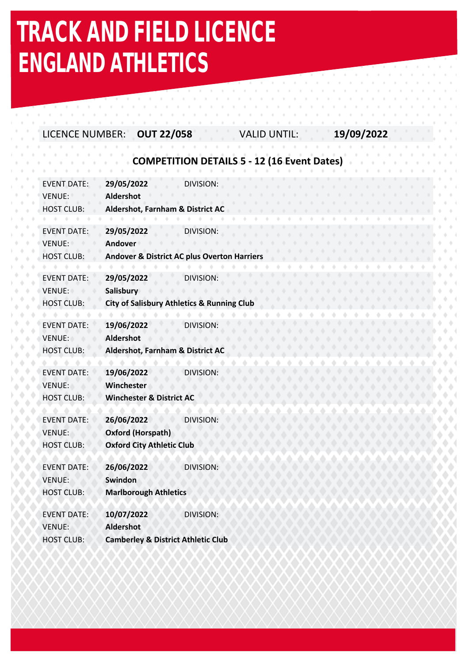## **TRACK AND FIELD LICENCE ENGLAND ATHLETICS**

#### LICENCE NUMBER: **OUT 22/058** VALID UNTIL: **19/09/2022**

#### **COMPETITION DETAILS 5 - 12 (16 Event Dates)**

| <b>EVENT DATE:</b><br>VENUE:                             | 29/05/2022<br>Aldershot                                                                 | <b>DIVISION:</b>                                                    |  |  |  |  |  |  |  |
|----------------------------------------------------------|-----------------------------------------------------------------------------------------|---------------------------------------------------------------------|--|--|--|--|--|--|--|
| <b>HOST CLUB:</b>                                        | Aldershot, Farnham & District AC                                                        |                                                                     |  |  |  |  |  |  |  |
| <b>EVENT DATE:</b><br>VENUE:<br><b>HOST CLUB:</b>        | 29/05/2022<br><b>Andover</b>                                                            | DIVISION:<br><b>Andover &amp; District AC plus Overton Harriers</b> |  |  |  |  |  |  |  |
| <b>EVENT DATE:</b><br>VENUE:<br><b>HOST CLUB:</b>        | 29/05/2022<br><b>Salisbury</b><br><b>City of Salisbury Athletics &amp; Running Club</b> | DIVISION:                                                           |  |  |  |  |  |  |  |
| <b>EVENT DATE:</b><br>VENUE:<br><b>HOST CLUB:</b>        | 19/06/2022<br>Aldershot<br>Aldershot, Farnham & District AC                             | Division:                                                           |  |  |  |  |  |  |  |
| <b>EVENT DATE:</b><br><b>VENUE:</b><br><b>HOST CLUB:</b> | 19/06/2022<br>Winchester<br><b>Winchester &amp; District AC</b>                         | DIVISION:                                                           |  |  |  |  |  |  |  |
| <b>EVENT DATE:</b><br><b>VENUE:</b><br><b>HOST CLUB:</b> | 26/06/2022<br><b>Oxford (Horspath)</b><br><b>Oxford City Athletic Club</b>              | <b>DIVISION</b>                                                     |  |  |  |  |  |  |  |
| <b>EVENT DATE:</b><br><b>VENUE:</b><br><b>HOST CLUB:</b> | 26/06/2022<br>Swindon<br><b>Marlborough Athletics</b>                                   | <b>DIVISION:</b>                                                    |  |  |  |  |  |  |  |
| <b>EVENT DATE:</b><br>VENUE:<br><b>HOST CLUB:</b>        | 10/07/2022<br><b>Aldershot</b><br><b>Camberley &amp; District Athletic Club</b>         | <b>DIVISION:</b>                                                    |  |  |  |  |  |  |  |